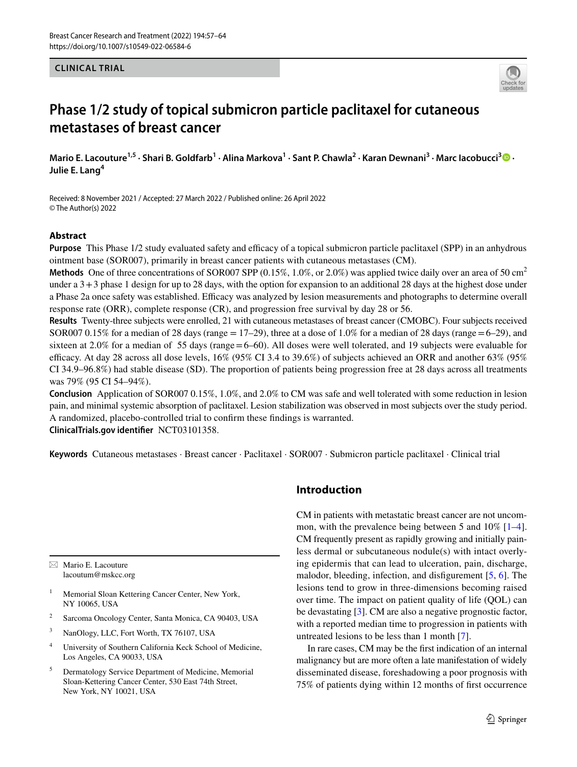### **CLINICAL TRIAL**



# **Phase 1/2 study of topical submicron particle paclitaxel for cutaneous metastases of breast cancer**

MarioE. Lacouture<sup>1,5</sup> · Shari B. Goldfarb<sup>1</sup> · Alina Markova<sup>1</sup> · Sant P. Chawla<sup>2</sup> · Karan Dewnani<sup>3</sup> · Marc Iacobucci<sup>3</sup> <sup>1</sup> **Julie E. Lang<sup>4</sup>**

Received: 8 November 2021 / Accepted: 27 March 2022 / Published online: 26 April 2022 © The Author(s) 2022

### **Abstract**

**Purpose** This Phase 1/2 study evaluated safety and efficacy of a topical submicron particle paclitaxel (SPP) in an anhydrous ointment base (SOR007), primarily in breast cancer patients with cutaneous metastases (CM).

**Methods** One of three concentrations of SOR007 SPP (0.15%, 1.0%, or 2.0%) was applied twice daily over an area of 50 cm<sup>2</sup> under a 3+3 phase 1 design for up to 28 days, with the option for expansion to an additional 28 days at the highest dose under a Phase 2a once safety was established. Efficacy was analyzed by lesion measurements and photographs to determine overall response rate (ORR), complete response (CR), and progression free survival by day 28 or 56.

**Results** Twenty-three subjects were enrolled, 21 with cutaneous metastases of breast cancer (CMOBC). Four subjects received SOR007 0.15% for a median of 28 days (range  $= 17-29$ ), three at a dose of 1.0% for a median of 28 days (range  $= 6-29$ ), and sixteen at 2.0% for a median of 55 days (range=6–60). All doses were well tolerated, and 19 subjects were evaluable for efficacy. At day 28 across all dose levels,  $16\%$  (95% CI 3.4 to 39.6%) of subjects achieved an ORR and another 63% (95%) CI 34.9–96.8%) had stable disease (SD). The proportion of patients being progression free at 28 days across all treatments was 79% (95 CI 54–94%).

**Conclusion** Application of SOR007 0.15%, 1.0%, and 2.0% to CM was safe and well tolerated with some reduction in lesion pain, and minimal systemic absorption of paclitaxel. Lesion stabilization was observed in most subjects over the study period. A randomized, placebo-controlled trial to confrm these fndings is warranted.

**ClinicalTrials.gov identifer** NCT03101358.

**Keywords** Cutaneous metastases · Breast cancer · Paclitaxel · SOR007 · Submicron particle paclitaxel · Clinical trial

 $\boxtimes$  Mario E. Lacouture lacoutum@mskcc.org

- Memorial Sloan Kettering Cancer Center, New York, NY 10065, USA
- <sup>2</sup> Sarcoma Oncology Center, Santa Monica, CA 90403, USA
- <sup>3</sup> NanOlogy, LLC, Fort Worth, TX 76107, USA
- <sup>4</sup> University of Southern California Keck School of Medicine, Los Angeles, CA 90033, USA
- <sup>5</sup> Dermatology Service Department of Medicine, Memorial Sloan-Kettering Cancer Center, 530 East 74th Street, New York, NY 10021, USA

# **Introduction**

CM in patients with metastatic breast cancer are not uncommon, with the prevalence being between 5 and 10% [\[1](#page-7-0)[–4](#page-7-1)]. CM frequently present as rapidly growing and initially painless dermal or subcutaneous nodule(s) with intact overlying epidermis that can lead to ulceration, pain, discharge, malodor, bleeding, infection, and disfgurement [[5,](#page-7-2) [6](#page-7-3)]. The lesions tend to grow in three-dimensions becoming raised over time. The impact on patient quality of life (QOL) can be devastating [[3\]](#page-7-4). CM are also a negative prognostic factor, with a reported median time to progression in patients with untreated lesions to be less than 1 month [[7\]](#page-7-5).

In rare cases, CM may be the frst indication of an internal malignancy but are more often a late manifestation of widely disseminated disease, foreshadowing a poor prognosis with 75% of patients dying within 12 months of frst occurrence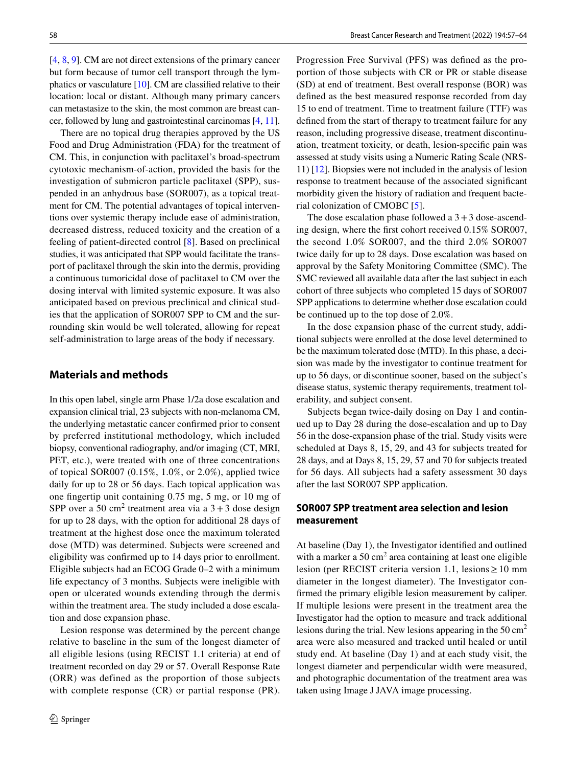[\[4](#page-7-1), [8](#page-7-6), [9\]](#page-7-7). CM are not direct extensions of the primary cancer but form because of tumor cell transport through the lymphatics or vasculature [\[10](#page-7-8)]. CM are classifed relative to their location: local or distant. Although many primary cancers can metastasize to the skin, the most common are breast cancer, followed by lung and gastrointestinal carcinomas [[4,](#page-7-1) [11](#page-7-9)].

There are no topical drug therapies approved by the US Food and Drug Administration (FDA) for the treatment of CM. This, in conjunction with paclitaxel's broad-spectrum cytotoxic mechanism-of-action, provided the basis for the investigation of submicron particle paclitaxel (SPP), suspended in an anhydrous base (SOR007), as a topical treatment for CM. The potential advantages of topical interventions over systemic therapy include ease of administration, decreased distress, reduced toxicity and the creation of a feeling of patient-directed control [[8](#page-7-6)]. Based on preclinical studies, it was anticipated that SPP would facilitate the transport of paclitaxel through the skin into the dermis, providing a continuous tumoricidal dose of paclitaxel to CM over the dosing interval with limited systemic exposure. It was also anticipated based on previous preclinical and clinical studies that the application of SOR007 SPP to CM and the surrounding skin would be well tolerated, allowing for repeat self-administration to large areas of the body if necessary.

## **Materials and methods**

In this open label, single arm Phase 1/2a dose escalation and expansion clinical trial, 23 subjects with non-melanoma CM, the underlying metastatic cancer confrmed prior to consent by preferred institutional methodology, which included biopsy, conventional radiography, and/or imaging (CT, MRI, PET, etc.), were treated with one of three concentrations of topical SOR007 (0.15%, 1.0%, or 2.0%), applied twice daily for up to 28 or 56 days. Each topical application was one fngertip unit containing 0.75 mg, 5 mg, or 10 mg of SPP over a 50 cm<sup>2</sup> treatment area via a  $3+3$  dose design for up to 28 days, with the option for additional 28 days of treatment at the highest dose once the maximum tolerated dose (MTD) was determined. Subjects were screened and eligibility was confrmed up to 14 days prior to enrollment. Eligible subjects had an ECOG Grade 0–2 with a minimum life expectancy of 3 months. Subjects were ineligible with open or ulcerated wounds extending through the dermis within the treatment area. The study included a dose escalation and dose expansion phase.

Lesion response was determined by the percent change relative to baseline in the sum of the longest diameter of all eligible lesions (using RECIST 1.1 criteria) at end of treatment recorded on day 29 or 57. Overall Response Rate (ORR) was defined as the proportion of those subjects with complete response (CR) or partial response (PR). Progression Free Survival (PFS) was defned as the proportion of those subjects with CR or PR or stable disease (SD) at end of treatment. Best overall response (BOR) was defned as the best measured response recorded from day 15 to end of treatment. Time to treatment failure (TTF) was defned from the start of therapy to treatment failure for any reason, including progressive disease, treatment discontinuation, treatment toxicity, or death, lesion-specifc pain was assessed at study visits using a Numeric Rating Scale (NRS-11) [[12\]](#page-7-10). Biopsies were not included in the analysis of lesion response to treatment because of the associated signifcant morbidity given the history of radiation and frequent bacterial colonization of CMOBC [[5\]](#page-7-2).

The dose escalation phase followed a  $3+3$  dose-ascending design, where the frst cohort received 0.15% SOR007, the second 1.0% SOR007, and the third 2.0% SOR007 twice daily for up to 28 days. Dose escalation was based on approval by the Safety Monitoring Committee (SMC). The SMC reviewed all available data after the last subject in each cohort of three subjects who completed 15 days of SOR007 SPP applications to determine whether dose escalation could be continued up to the top dose of 2.0%.

In the dose expansion phase of the current study, additional subjects were enrolled at the dose level determined to be the maximum tolerated dose (MTD). In this phase, a decision was made by the investigator to continue treatment for up to 56 days, or discontinue sooner, based on the subject's disease status, systemic therapy requirements, treatment tolerability, and subject consent.

Subjects began twice-daily dosing on Day 1 and continued up to Day 28 during the dose-escalation and up to Day 56 in the dose-expansion phase of the trial. Study visits were scheduled at Days 8, 15, 29, and 43 for subjects treated for 28 days, and at Days 8, 15, 29, 57 and 70 for subjects treated for 56 days. All subjects had a safety assessment 30 days after the last SOR007 SPP application.

# **SOR007 SPP treatment area selection and lesion measurement**

At baseline (Day 1), the Investigator identifed and outlined with a marker a  $50 \text{ cm}^2$  area containing at least one eligible lesion (per RECIST criteria version 1.1, lesions≥10 mm diameter in the longest diameter). The Investigator confrmed the primary eligible lesion measurement by caliper. If multiple lesions were present in the treatment area the Investigator had the option to measure and track additional lesions during the trial. New lesions appearing in the  $50 \text{ cm}^2$ area were also measured and tracked until healed or until study end. At baseline (Day 1) and at each study visit, the longest diameter and perpendicular width were measured, and photographic documentation of the treatment area was taken using Image J JAVA image processing.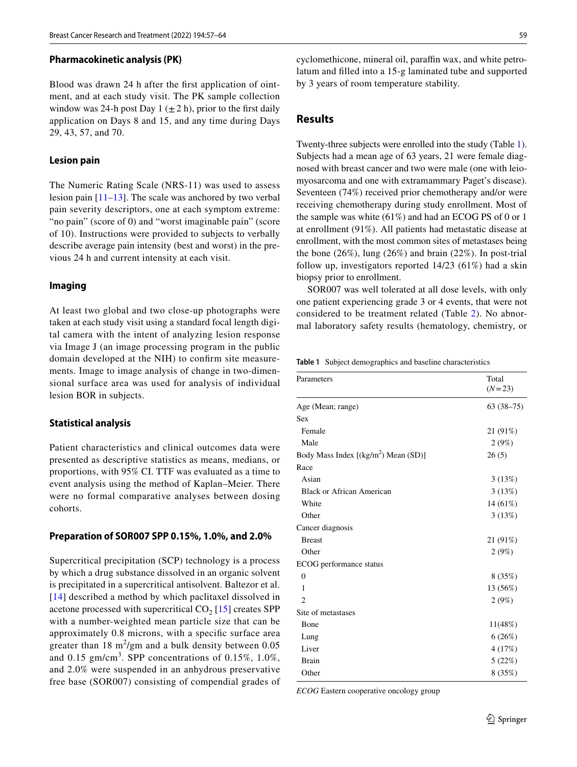#### **Pharmacokinetic analysis (PK)**

Blood was drawn 24 h after the frst application of ointment, and at each study visit. The PK sample collection window was 24-h post Day 1  $(\pm 2 h)$ , prior to the first daily application on Days 8 and 15, and any time during Days 29, 43, 57, and 70.

#### **Lesion pain**

The Numeric Rating Scale (NRS-11) was used to assess lesion pain  $[11-13]$  $[11-13]$ . The scale was anchored by two verbal pain severity descriptors, one at each symptom extreme: "no pain" (score of 0) and "worst imaginable pain" (score of 10). Instructions were provided to subjects to verbally describe average pain intensity (best and worst) in the previous 24 h and current intensity at each visit.

#### **Imaging**

At least two global and two close-up photographs were taken at each study visit using a standard focal length digital camera with the intent of analyzing lesion response via Image J (an image processing program in the public domain developed at the NIH) to confrm site measurements. Image to image analysis of change in two-dimensional surface area was used for analysis of individual lesion BOR in subjects.

#### **Statistical analysis**

Patient characteristics and clinical outcomes data were presented as descriptive statistics as means, medians, or proportions, with 95% CI. TTF was evaluated as a time to event analysis using the method of Kaplan–Meier. There were no formal comparative analyses between dosing cohorts.

#### **Preparation of SOR007 SPP 0.15%, 1.0%, and 2.0%**

Supercritical precipitation (SCP) technology is a process by which a drug substance dissolved in an organic solvent is precipitated in a supercritical antisolvent. Baltezor et al. [[14\]](#page-7-12) described a method by which paclitaxel dissolved in acetone processed with supercritical  $CO<sub>2</sub>$  [\[15](#page-7-13)] creates SPP with a number-weighted mean particle size that can be approximately 0.8 microns, with a specifc surface area greater than  $18 \text{ m}^2/\text{gm}$  and a bulk density between 0.05 and  $0.15$  gm/cm<sup>3</sup>. SPP concentrations of  $0.15\%$ ,  $1.0\%$ , and 2.0% were suspended in an anhydrous preservative free base (SOR007) consisting of compendial grades of

cyclomethicone, mineral oil, paraffin wax, and white petrolatum and flled into a 15-g laminated tube and supported by 3 years of room temperature stability.

### **Results**

Twenty-three subjects were enrolled into the study (Table [1](#page-2-0)). Subjects had a mean age of 63 years, 21 were female diagnosed with breast cancer and two were male (one with leiomyosarcoma and one with extramammary Paget's disease). Seventeen (74%) received prior chemotherapy and/or were receiving chemotherapy during study enrollment. Most of the sample was white (61%) and had an ECOG PS of 0 or 1 at enrollment (91%). All patients had metastatic disease at enrollment, with the most common sites of metastases being the bone (26%), lung (26%) and brain (22%). In post-trial follow up, investigators reported 14/23 (61%) had a skin biopsy prior to enrollment.

SOR007 was well tolerated at all dose levels, with only one patient experiencing grade 3 or 4 events, that were not considered to be treatment related (Table [2\)](#page-3-0). No abnormal laboratory safety results (hematology, chemistry, or

<span id="page-2-0"></span>**Table 1** Subject demographics and baseline characteristics

| Parameters                            | Total<br>$(N=23)$ |
|---------------------------------------|-------------------|
| Age (Mean; range)                     | $63(38-75)$       |
| <b>Sex</b>                            |                   |
| Female                                | 21 (91%)          |
| Male                                  | 2(9%)             |
| Body Mass Index $[(kg/m2) Mean (SD)]$ | 26(5)             |
| Race                                  |                   |
| Asian                                 | 3(13%)            |
| <b>Black or African American</b>      | 3(13%)            |
| White                                 | $14(61\%)$        |
| Other                                 | 3(13%)            |
| Cancer diagnosis                      |                   |
| <b>Breast</b>                         | 21 (91%)          |
| Other                                 | 2(9%)             |
| ECOG performance status               |                   |
| $\mathbf{0}$                          | 8(35%)            |
| 1                                     | 13 (56%)          |
| $\overline{2}$                        | 2(9%)             |
| Site of metastases                    |                   |
| Bone                                  | 11(48%)           |
| Lung                                  | 6(26%)            |
| Liver                                 | 4 (17%)           |
| <b>Brain</b>                          | 5(22%)            |
| Other                                 | 8 (35%)           |

*ECOG* Eastern cooperative oncology group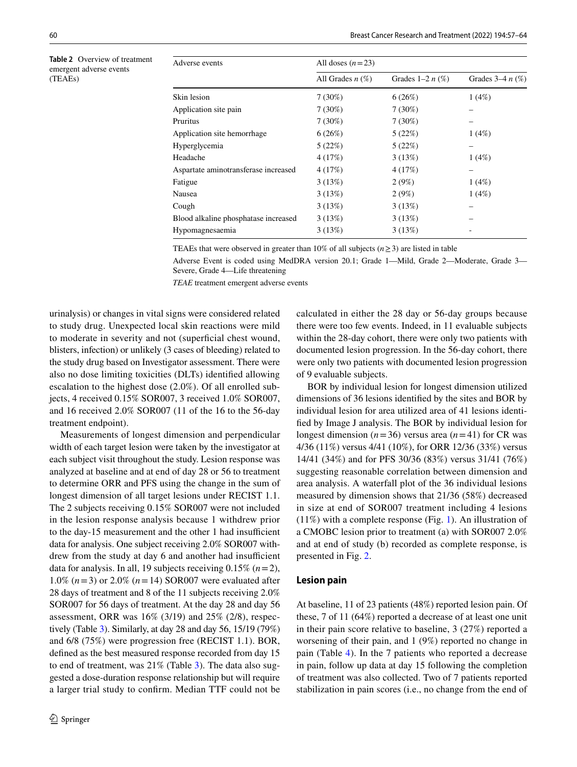<span id="page-3-0"></span>**Table 2** Overview of treatment emergent adverse events (TEAEs)

| Adverse events                       | All doses $(n=23)$ |                   |                   |  |  |  |
|--------------------------------------|--------------------|-------------------|-------------------|--|--|--|
|                                      | All Grades $n(\%)$ | Grades $1-2n$ (%) | Grades $3-4n$ (%) |  |  |  |
| Skin lesion                          | $7(30\%)$          | 6(26%)            | 1(4%)             |  |  |  |
| Application site pain                | $7(30\%)$          | $7(30\%)$         |                   |  |  |  |
| Pruritus                             | $7(30\%)$          | $7(30\%)$         |                   |  |  |  |
| Application site hemorrhage          | 6(26%)             | 5(22%)            | 1(4%)             |  |  |  |
| Hyperglycemia                        | 5(22%)             | 5(22%)            |                   |  |  |  |
| Headache                             | 4(17%)             | 3(13%)            | 1(4%)             |  |  |  |
| Aspartate aminotransferase increased | 4(17%)             | 4(17%)            |                   |  |  |  |
| Fatigue                              | 3(13%)             | 2(9%)             | 1(4%)             |  |  |  |
| Nausea                               | 3(13%)             | 2(9%)             | 1(4%)             |  |  |  |
| Cough                                | 3(13%)             | 3(13%)            |                   |  |  |  |
| Blood alkaline phosphatase increased | 3(13%)             | 3(13%)            |                   |  |  |  |
| Hypomagnesaemia                      | 3(13%)             | 3(13%)            |                   |  |  |  |

TEAEs that were observed in greater than 10% of all subjects ( $n \ge 3$ ) are listed in table

Adverse Event is coded using MedDRA version 20.1; Grade 1—Mild, Grade 2—Moderate, Grade 3— Severe, Grade 4—Life threatening

*TEAE* treatment emergent adverse events

urinalysis) or changes in vital signs were considered related to study drug. Unexpected local skin reactions were mild to moderate in severity and not (superficial chest wound, blisters, infection) or unlikely (3 cases of bleeding) related to the study drug based on Investigator assessment. There were also no dose limiting toxicities (DLTs) identifed allowing escalation to the highest dose (2.0%). Of all enrolled subjects, 4 received 0.15% SOR007, 3 received 1.0% SOR007, and 16 received 2.0% SOR007 (11 of the 16 to the 56-day treatment endpoint).

Measurements of longest dimension and perpendicular width of each target lesion were taken by the investigator at each subject visit throughout the study. Lesion response was analyzed at baseline and at end of day 28 or 56 to treatment to determine ORR and PFS using the change in the sum of longest dimension of all target lesions under RECIST 1.1. The 2 subjects receiving 0.15% SOR007 were not included in the lesion response analysis because 1 withdrew prior to the day-15 measurement and the other 1 had insufficient data for analysis. One subject receiving 2.0% SOR007 withdrew from the study at day 6 and another had insufficient data for analysis. In all, 19 subjects receiving 0.15% (*n*=2), 1.0% (*n*=3) or 2.0% (*n*=14) SOR007 were evaluated after 28 days of treatment and 8 of the 11 subjects receiving 2.0% SOR007 for 56 days of treatment. At the day 28 and day 56 assessment, ORR was 16% (3/19) and 25% (2/8), respectively (Table [3\)](#page-4-0). Similarly, at day 28 and day 56, 15/19 (79%) and 6/8 (75%) were progression free (RECIST 1.1). BOR, defned as the best measured response recorded from day 15 to end of treatment, was 21% (Table [3\)](#page-4-0). The data also suggested a dose-duration response relationship but will require a larger trial study to confrm. Median TTF could not be calculated in either the 28 day or 56-day groups because there were too few events. Indeed, in 11 evaluable subjects within the 28-day cohort, there were only two patients with documented lesion progression. In the 56-day cohort, there were only two patients with documented lesion progression of 9 evaluable subjects.

BOR by individual lesion for longest dimension utilized dimensions of 36 lesions identifed by the sites and BOR by individual lesion for area utilized area of 41 lesions identifed by Image J analysis. The BOR by individual lesion for longest dimension  $(n=36)$  versus area  $(n=41)$  for CR was 4/36 (11%) versus 4/41 (10%), for ORR 12/36 (33%) versus 14/41 (34%) and for PFS 30/36 (83%) versus 31/41 (76%) suggesting reasonable correlation between dimension and area analysis. A waterfall plot of the 36 individual lesions measured by dimension shows that 21/36 (58%) decreased in size at end of SOR007 treatment including 4 lesions (11%) with a complete response (Fig. [1\)](#page-4-1). An illustration of a CMOBC lesion prior to treatment (a) with SOR007 2.0% and at end of study (b) recorded as complete response, is presented in Fig. [2](#page-5-0).

#### **Lesion pain**

At baseline, 11 of 23 patients (48%) reported lesion pain. Of these, 7 of 11 (64%) reported a decrease of at least one unit in their pain score relative to baseline, 3 (27%) reported a worsening of their pain, and 1 (9%) reported no change in pain (Table [4\)](#page-5-1). In the 7 patients who reported a decrease in pain, follow up data at day 15 following the completion of treatment was also collected. Two of 7 patients reported stabilization in pain scores (i.e., no change from the end of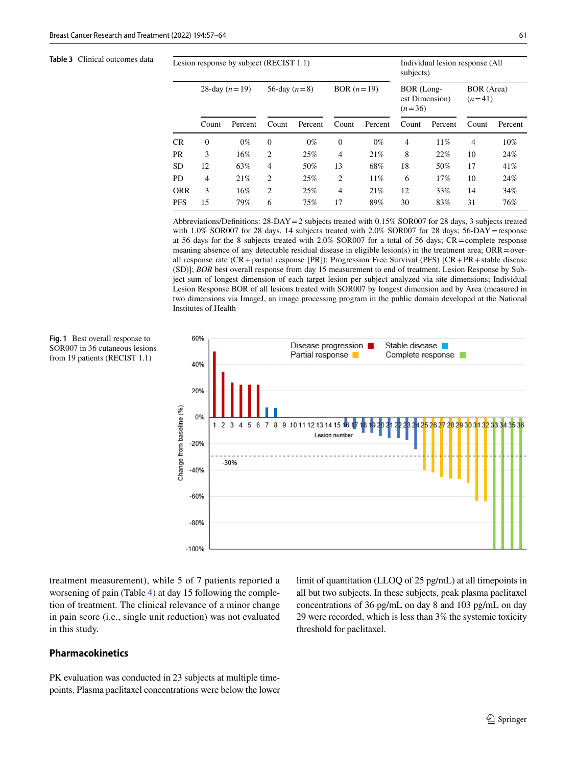<span id="page-4-0"></span>**Table 3** Clinical outcomes data

<span id="page-4-1"></span>**Fig. 1** Best overall response to

from 19 patients (RECIST 1.1)

| Lesion response by subject (RECIST 1.1) |                 |         |                |         |                | Individual lesion response (All<br>subjects) |                                          |         |                        |         |
|-----------------------------------------|-----------------|---------|----------------|---------|----------------|----------------------------------------------|------------------------------------------|---------|------------------------|---------|
|                                         | 28-day $(n=19)$ |         | 56-day $(n=8)$ |         | BOR $(n=19)$   |                                              | BOR (Long-<br>est Dimension)<br>$(n=36)$ |         | BOR (Area)<br>$(n=41)$ |         |
|                                         | Count           | Percent | Count          | Percent | Count          | Percent                                      | Count                                    | Percent | Count                  | Percent |
| <b>CR</b>                               | $\overline{0}$  | $0\%$   | $\theta$       | $0\%$   | $\Omega$       | $0\%$                                        | $\overline{4}$                           | 11%     | 4                      | 10%     |
| <b>PR</b>                               | 3               | 16%     | $\overline{c}$ | 25%     | $\overline{4}$ | 21%                                          | 8                                        | 22%     | 10                     | 24%     |
| <b>SD</b>                               | 12              | 63%     | $\overline{4}$ | 50%     | 13             | 68%                                          | 18                                       | 50%     | 17                     | 41%     |
| PD.                                     | 4               | 21%     | $\overline{2}$ | 25%     | $\overline{c}$ | 11%                                          | 6                                        | 17%     | 10                     | 24%     |
| <b>ORR</b>                              | 3               | 16%     | $\overline{2}$ | 25%     | $\overline{4}$ | 21%                                          | 12                                       | 33%     | 14                     | 34%     |
| <b>PFS</b>                              | 15              | 79%     | 6              | 75%     | 17             | 89%                                          | 30                                       | 83%     | 31                     | 76%     |

Abbreviations/Definitions:  $28-DAY=2$  subjects treated with 0.15% SOR007 for 28 days, 3 subjects treated with 1.0% SOR007 for 28 days, 14 subjects treated with 2.0% SOR007 for 28 days; 56-DAY=response at 56 days for the 8 subjects treated with 2.0% SOR007 for a total of 56 days; CR=complete response meaning absence of any detectable residual disease in eligible lesion(s) in the treatment area;  $ORR = over$ all response rate (CR+partial response [PR]); Progression Free Survival (PFS) [CR+PR+stable disease (SD)]; *BOR* best overall response from day 15 measurement to end of treatment. Lesion Response by Subject sum of longest dimension of each target lesion per subject analyzed via site dimensions; Individual Lesion Response BOR of all lesions treated with SOR007 by longest dimension and by Area (measured in two dimensions via ImageJ, an image processing program in the public domain developed at the National Institutes of Health



treatment measurement), while 5 of 7 patients reported a worsening of pain (Table [4\)](#page-5-1) at day 15 following the completion of treatment. The clinical relevance of a minor change in pain score (i.e., single unit reduction) was not evaluated in this study.

### **Pharmacokinetics**

PK evaluation was conducted in 23 subjects at multiple timepoints. Plasma paclitaxel concentrations were below the lower limit of quantitation (LLOQ of 25 pg/mL) at all timepoints in all but two subjects. In these subjects, peak plasma paclitaxel concentrations of 36 pg/mL on day 8 and 103 pg/mL on day 29 were recorded, which is less than 3% the systemic toxicity threshold for paclitaxel.

# <sup>2</sup> Springer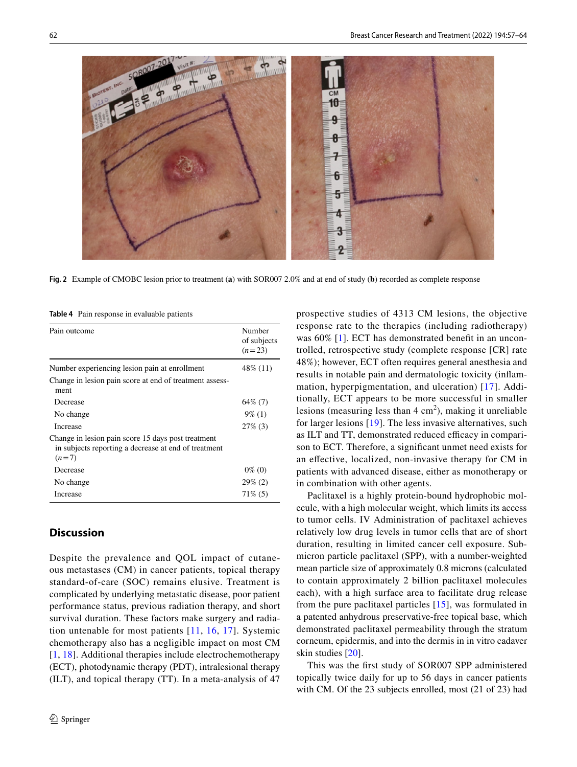

<span id="page-5-0"></span>**Fig. 2** Example of CMOBC lesion prior to treatment (**a**) with SOR007 2.0% and at end of study (**b**) recorded as complete response

<span id="page-5-1"></span>**Table 4** Pain response in evaluable patients

| Pain outcome                                                                                                          | Number<br>of subjects<br>$(n=23)$ |
|-----------------------------------------------------------------------------------------------------------------------|-----------------------------------|
| Number experiencing lesion pain at enrollment                                                                         | 48\% (11)                         |
| Change in lesion pain score at end of treatment assess-<br>ment                                                       |                                   |
| Decrease                                                                                                              | $64\%$ (7)                        |
| No change                                                                                                             | $9\%$ (1)                         |
| Increase                                                                                                              | $27\%$ (3)                        |
| Change in lesion pain score 15 days post treatment<br>in subjects reporting a decrease at end of treatment<br>$(n=7)$ |                                   |
| Decrease                                                                                                              | $0\%$ (0)                         |
| No change                                                                                                             | $29\%$ (2)                        |
| Increase                                                                                                              | $71\%$ (5)                        |

# **Discussion**

Despite the prevalence and QOL impact of cutaneous metastases (CM) in cancer patients, topical therapy standard-of-care (SOC) remains elusive. Treatment is complicated by underlying metastatic disease, poor patient performance status, previous radiation therapy, and short survival duration. These factors make surgery and radiation untenable for most patients [\[11](#page-7-9), [16,](#page-7-14) [17\]](#page-7-15). Systemic chemotherapy also has a negligible impact on most CM [[1,](#page-7-0) [18](#page-7-16)]. Additional therapies include electrochemotherapy (ECT), photodynamic therapy (PDT), intralesional therapy (ILT), and topical therapy (TT). In a meta-analysis of 47 prospective studies of 4313 CM lesions, the objective response rate to the therapies (including radiotherapy) was 60% [[1](#page-7-0)]. ECT has demonstrated beneft in an uncontrolled, retrospective study (complete response [CR] rate 48%); however, ECT often requires general anesthesia and results in notable pain and dermatologic toxicity (infammation, hyperpigmentation, and ulceration) [[17](#page-7-15)]. Additionally, ECT appears to be more successful in smaller lesions (measuring less than  $4 \text{ cm}^2$ ), making it unreliable for larger lesions [\[19\]](#page-7-17). The less invasive alternatives, such as ILT and TT, demonstrated reduced efficacy in comparison to ECT. Therefore, a signifcant unmet need exists for an efective, localized, non-invasive therapy for CM in patients with advanced disease, either as monotherapy or in combination with other agents.

Paclitaxel is a highly protein-bound hydrophobic molecule, with a high molecular weight, which limits its access to tumor cells. IV Administration of paclitaxel achieves relatively low drug levels in tumor cells that are of short duration, resulting in limited cancer cell exposure. Submicron particle paclitaxel (SPP), with a number-weighted mean particle size of approximately 0.8 microns (calculated to contain approximately 2 billion paclitaxel molecules each), with a high surface area to facilitate drug release from the pure paclitaxel particles [\[15\]](#page-7-13), was formulated in a patented anhydrous preservative-free topical base, which demonstrated paclitaxel permeability through the stratum corneum, epidermis, and into the dermis in in vitro cadaver skin studies [\[20](#page-7-18)].

This was the frst study of SOR007 SPP administered topically twice daily for up to 56 days in cancer patients with CM. Of the 23 subjects enrolled, most (21 of 23) had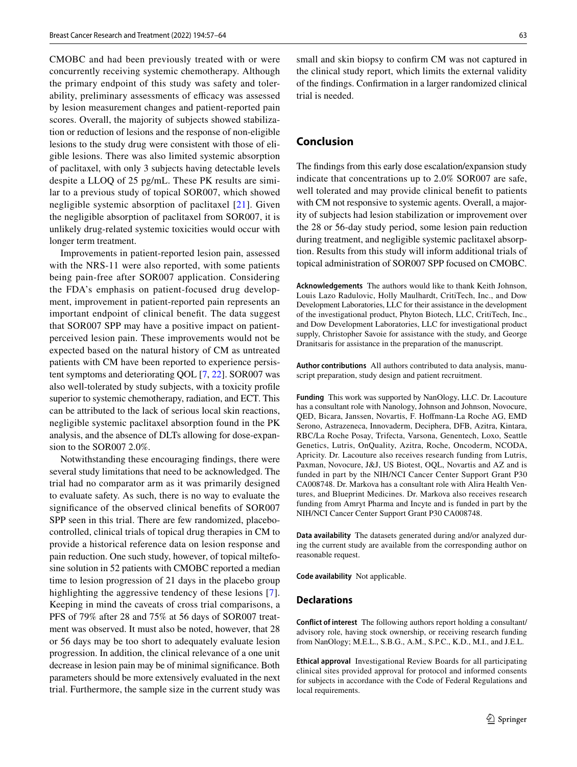CMOBC and had been previously treated with or were concurrently receiving systemic chemotherapy. Although the primary endpoint of this study was safety and tolerability, preliminary assessments of efficacy was assessed by lesion measurement changes and patient-reported pain scores. Overall, the majority of subjects showed stabilization or reduction of lesions and the response of non-eligible lesions to the study drug were consistent with those of eligible lesions. There was also limited systemic absorption of paclitaxel, with only 3 subjects having detectable levels despite a LLOQ of 25 pg/mL. These PK results are similar to a previous study of topical SOR007, which showed negligible systemic absorption of paclitaxel [[21](#page-7-19)]. Given the negligible absorption of paclitaxel from SOR007, it is unlikely drug-related systemic toxicities would occur with longer term treatment.

Improvements in patient-reported lesion pain, assessed with the NRS-11 were also reported, with some patients being pain-free after SOR007 application. Considering the FDA's emphasis on patient-focused drug development, improvement in patient-reported pain represents an important endpoint of clinical beneft. The data suggest that SOR007 SPP may have a positive impact on patientperceived lesion pain. These improvements would not be expected based on the natural history of CM as untreated patients with CM have been reported to experience persistent symptoms and deteriorating QOL [[7,](#page-7-5) [22\]](#page-7-20). SOR007 was also well-tolerated by study subjects, with a toxicity profle superior to systemic chemotherapy, radiation, and ECT. This can be attributed to the lack of serious local skin reactions, negligible systemic paclitaxel absorption found in the PK analysis, and the absence of DLTs allowing for dose-expansion to the SOR007 2.0%.

Notwithstanding these encouraging fndings, there were several study limitations that need to be acknowledged. The trial had no comparator arm as it was primarily designed to evaluate safety. As such, there is no way to evaluate the signifcance of the observed clinical benefts of SOR007 SPP seen in this trial. There are few randomized, placebocontrolled, clinical trials of topical drug therapies in CM to provide a historical reference data on lesion response and pain reduction. One such study, however, of topical miltefosine solution in 52 patients with CMOBC reported a median time to lesion progression of 21 days in the placebo group highlighting the aggressive tendency of these lesions [[7](#page-7-5)]. Keeping in mind the caveats of cross trial comparisons, a PFS of 79% after 28 and 75% at 56 days of SOR007 treatment was observed. It must also be noted, however, that 28 or 56 days may be too short to adequately evaluate lesion progression. In addition, the clinical relevance of a one unit decrease in lesion pain may be of minimal signifcance. Both parameters should be more extensively evaluated in the next trial. Furthermore, the sample size in the current study was small and skin biopsy to confrm CM was not captured in the clinical study report, which limits the external validity of the fndings. Confrmation in a larger randomized clinical trial is needed.

### **Conclusion**

The fndings from this early dose escalation/expansion study indicate that concentrations up to 2.0% SOR007 are safe, well tolerated and may provide clinical beneft to patients with CM not responsive to systemic agents. Overall, a majority of subjects had lesion stabilization or improvement over the 28 or 56-day study period, some lesion pain reduction during treatment, and negligible systemic paclitaxel absorption. Results from this study will inform additional trials of topical administration of SOR007 SPP focused on CMOBC.

**Acknowledgements** The authors would like to thank Keith Johnson, Louis Lazo Radulovic, Holly Maulhardt, CritiTech, Inc., and Dow Development Laboratories, LLC for their assistance in the development of the investigational product, Phyton Biotech, LLC, CritiTech, Inc., and Dow Development Laboratories, LLC for investigational product supply, Christopher Savoie for assistance with the study, and George Dranitsaris for assistance in the preparation of the manuscript.

**Author contributions** All authors contributed to data analysis, manuscript preparation, study design and patient recruitment.

**Funding** This work was supported by NanOlogy, LLC. Dr. Lacouture has a consultant role with Nanology, Johnson and Johnson, Novocure, QED, Bicara, Janssen, Novartis, F. Hofmann-La Roche AG, EMD Serono, Astrazeneca, Innovaderm, Deciphera, DFB, Azitra, Kintara, RBC/La Roche Posay, Trifecta, Varsona, Genentech, Loxo, Seattle Genetics, Lutris, OnQuality, Azitra, Roche, Oncoderm, NCODA, Apricity. Dr. Lacouture also receives research funding from Lutris, Paxman, Novocure, J&J, US Biotest, OQL, Novartis and AZ and is funded in part by the NIH/NCI Cancer Center Support Grant P30 CA008748. Dr. Markova has a consultant role with Alira Health Ventures, and Blueprint Medicines. Dr. Markova also receives research funding from Amryt Pharma and Incyte and is funded in part by the NIH/NCI Cancer Center Support Grant P30 CA008748.

**Data availability** The datasets generated during and/or analyzed during the current study are available from the corresponding author on reasonable request.

**Code availability** Not applicable.

#### **Declarations**

**Conflict of interest** The following authors report holding a consultant/ advisory role, having stock ownership, or receiving research funding from NanOlogy; M.E.L., S.B.G., A.M., S.P.C., K.D., M.I., and J.E.L.

**Ethical approval** Investigational Review Boards for all participating clinical sites provided approval for protocol and informed consents for subjects in accordance with the Code of Federal Regulations and local requirements.